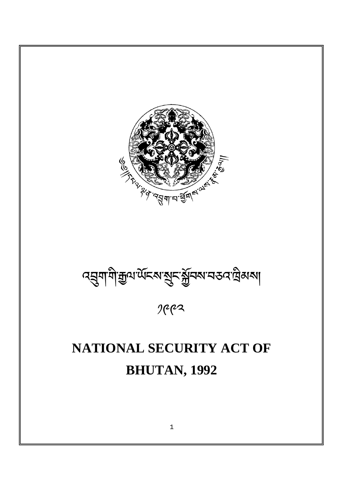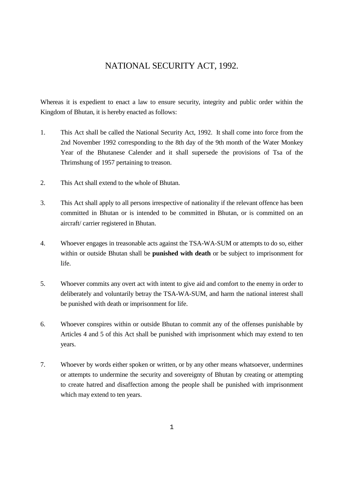## NATIONAL SECURITY ACT, 1992.

Whereas it is expedient to enact a law to ensure security, integrity and public order within the Kingdom of Bhutan, it is hereby enacted as follows:

- 1. This Act shall be called the National Security Act, 1992. It shall come into force from the 2nd November 1992 corresponding to the 8th day of the 9th month of the Water Monkey Year of the Bhutanese Calender and it shall supersede the provisions of Tsa of the Thrimshung of 1957 pertaining to treason.
- 2. This Act shall extend to the whole of Bhutan.
- 3. This Act shall apply to all persons irrespective of nationality if the relevant offence has been committed in Bhutan or is intended to be committed in Bhutan, or is committed on an aircraft/ carrier registered in Bhutan.
- 4. Whoever engages in treasonable acts against the TSA-WA-SUM or attempts to do so, either within or outside Bhutan shall be **punished with death** or be subject to imprisonment for life.
- 5. Whoever commits any overt act with intent to give aid and comfort to the enemy in order to deliberately and voluntarily betray the TSA-WA-SUM, and harm the national interest shall be punished with death or imprisonment for life.
- 6. Whoever conspires within or outside Bhutan to commit any of the offenses punishable by Articles 4 and 5 of this Act shall be punished with imprisonment which may extend to ten years.
- 7. Whoever by words either spoken or written, or by any other means whatsoever, undermines or attempts to undermine the security and sovereignty of Bhutan by creating or attempting to create hatred and disaffection among the people shall be punished with imprisonment which may extend to ten years.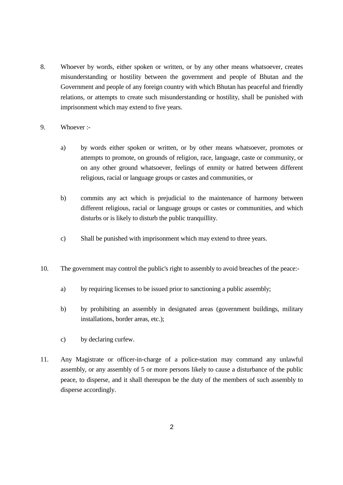- 8. Whoever by words, either spoken or written, or by any other means whatsoever, creates misunderstanding or hostility between the government and people of Bhutan and the Government and people of any foreign country with which Bhutan has peaceful and friendly relations, or attempts to create such misunderstanding or hostility, shall be punished with imprisonment which may extend to five years.
- 9. Whoever :
	- a) by words either spoken or written, or by other means whatsoever, promotes or attempts to promote, on grounds of religion, race, language, caste or community, or on any other ground whatsoever, feelings of enmity or hatred between different religious, racial or language groups or castes and communities, or
	- b) commits any act which is prejudicial to the maintenance of harmony between different religious, racial or language groups or castes or communities, and which disturbs or is likely to disturb the public tranquillity.
	- c) Shall be punished with imprisonment which may extend to three years.
- 10. The government may control the public's right to assembly to avoid breaches of the peace:
	- a) by requiring licenses to be issued prior to sanctioning a public assembly;
	- b) by prohibiting an assembly in designated areas (government buildings, military installations, border areas, etc.);
	- c) by declaring curfew.
- 11. Any Magistrate or officer-in-charge of a police-station may command any unlawful assembly, or any assembly of 5 or more persons likely to cause a disturbance of the public peace, to disperse, and it shall thereupon be the duty of the members of such assembly to disperse accordingly.